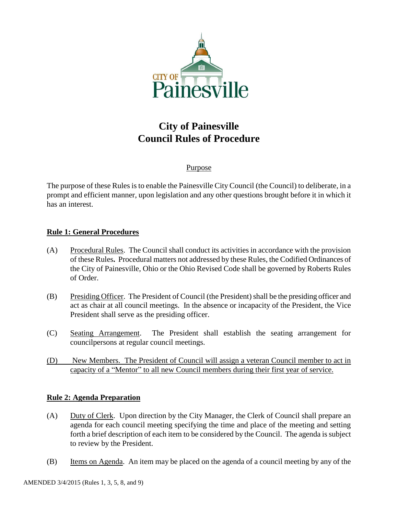

# **City of Painesville Council Rules of Procedure**

# Purpose

The purpose of these Rules is to enable the Painesville City Council (the Council) to deliberate, in a prompt and efficient manner, upon legislation and any other questions brought before it in which it has an interest.

# **Rule 1: General Procedures**

- (A) Procedural Rules. The Council shall conduct its activities in accordance with the provision of these Rules**.** Procedural matters not addressed by these Rules, the Codified Ordinances of the City of Painesville, Ohio or the Ohio Revised Code shall be governed by Roberts Rules of Order.
- (B) Presiding Officer. The President of Council (the President) shall be the presiding officer and act as chair at all council meetings. In the absence or incapacity of the President, the Vice President shall serve as the presiding officer.
- (C) Seating Arrangement. The President shall establish the seating arrangement for councilpersons at regular council meetings.
- (D) New Members. The President of Council will assign a veteran Council member to act in capacity of a "Mentor" to all new Council members during their first year of service.

# **Rule 2: Agenda Preparation**

- (A) Duty of Clerk. Upon direction by the City Manager, the Clerk of Council shall prepare an agenda for each council meeting specifying the time and place of the meeting and setting forth a brief description of each item to be considered by the Council. The agenda is subject to review by the President.
- (B) Items on Agenda. An item may be placed on the agenda of a council meeting by any of the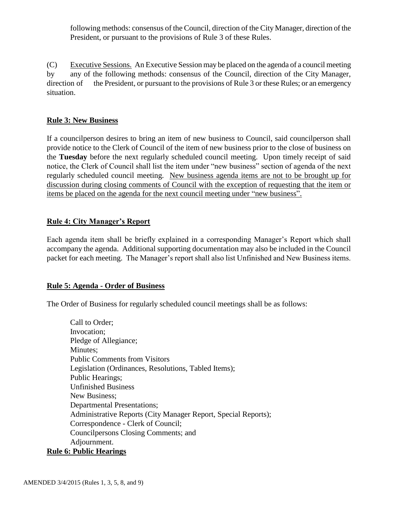following methods: consensus of the Council, direction of the City Manager, direction of the President, or pursuant to the provisions of Rule 3 of these Rules.

(C) Executive Sessions. An Executive Session may be placed on the agenda of a council meeting by any of the following methods: consensus of the Council, direction of the City Manager, direction of the President, or pursuant to the provisions of Rule 3 or these Rules; or an emergency situation.

# **Rule 3: New Business**

If a councilperson desires to bring an item of new business to Council, said councilperson shall provide notice to the Clerk of Council of the item of new business prior to the close of business on the **Tuesday** before the next regularly scheduled council meeting. Upon timely receipt of said notice, the Clerk of Council shall list the item under "new business" section of agenda of the next regularly scheduled council meeting. New business agenda items are not to be brought up for discussion during closing comments of Council with the exception of requesting that the item or items be placed on the agenda for the next council meeting under "new business".

# **Rule 4: City Manager's Report**

Each agenda item shall be briefly explained in a corresponding Manager's Report which shall accompany the agenda. Additional supporting documentation may also be included in the Council packet for each meeting. The Manager's report shall also list Unfinished and New Business items.

## **Rule 5: Agenda - Order of Business**

The Order of Business for regularly scheduled council meetings shall be as follows:

Call to Order; Invocation; Pledge of Allegiance; Minutes; Public Comments from Visitors Legislation (Ordinances, Resolutions, Tabled Items); Public Hearings; Unfinished Business New Business; Departmental Presentations; Administrative Reports (City Manager Report, Special Reports); Correspondence - Clerk of Council; Councilpersons Closing Comments; and Adjournment. **Rule 6: Public Hearings**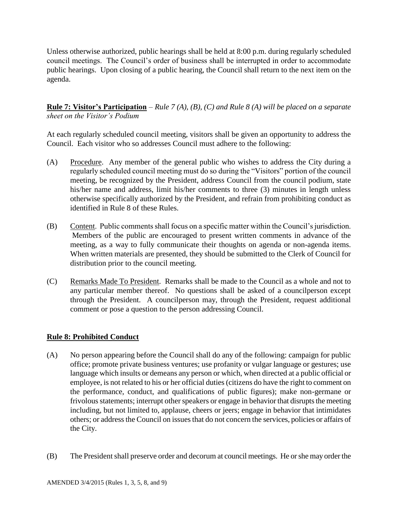Unless otherwise authorized, public hearings shall be held at 8:00 p.m. during regularly scheduled council meetings. The Council's order of business shall be interrupted in order to accommodate public hearings. Upon closing of a public hearing, the Council shall return to the next item on the agenda.

**Rule 7: Visitor's Participation** – *Rule 7 (A), (B), (C) and Rule 8 (A) will be placed on a separate sheet on the Visitor's Podium*

At each regularly scheduled council meeting, visitors shall be given an opportunity to address the Council. Each visitor who so addresses Council must adhere to the following:

- (A) Procedure. Any member of the general public who wishes to address the City during a regularly scheduled council meeting must do so during the "Visitors" portion of the council meeting, be recognized by the President, address Council from the council podium, state his/her name and address, limit his/her comments to three (3) minutes in length unless otherwise specifically authorized by the President, and refrain from prohibiting conduct as identified in Rule 8 of these Rules.
- (B) Content. Public comments shall focus on a specific matter within the Council's jurisdiction. Members of the public are encouraged to present written comments in advance of the meeting, as a way to fully communicate their thoughts on agenda or non-agenda items. When written materials are presented, they should be submitted to the Clerk of Council for distribution prior to the council meeting.
- (C) Remarks Made To President. Remarks shall be made to the Council as a whole and not to any particular member thereof. No questions shall be asked of a councilperson except through the President. A councilperson may, through the President, request additional comment or pose a question to the person addressing Council.

# **Rule 8: Prohibited Conduct**

- (A) No person appearing before the Council shall do any of the following: campaign for public office; promote private business ventures; use profanity or vulgar language or gestures; use language which insults or demeans any person or which, when directed at a public official or employee, is not related to his or her official duties (citizens do have the right to comment on the performance, conduct, and qualifications of public figures); make non-germane or frivolous statements; interrupt other speakers or engage in behavior that disrupts the meeting including, but not limited to, applause, cheers or jeers; engage in behavior that intimidates others; or address the Council on issues that do not concern the services, policies or affairs of the City.
- (B) The President shall preserve order and decorum at council meetings. He or she may order the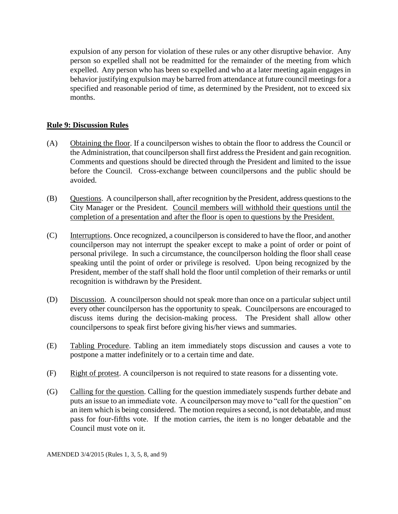expulsion of any person for violation of these rules or any other disruptive behavior. Any person so expelled shall not be readmitted for the remainder of the meeting from which expelled. Any person who has been so expelled and who at a later meeting again engages in behavior justifying expulsion may be barred from attendance at future council meetings for a specified and reasonable period of time, as determined by the President, not to exceed six months.

# **Rule 9: Discussion Rules**

- (A) Obtaining the floor. If a councilperson wishes to obtain the floor to address the Council or the Administration, that councilperson shall first address the President and gain recognition. Comments and questions should be directed through the President and limited to the issue before the Council. Cross-exchange between councilpersons and the public should be avoided.
- (B) Questions. A councilperson shall, after recognition by the President, address questions to the City Manager or the President. Council members will withhold their questions until the completion of a presentation and after the floor is open to questions by the President.
- (C) Interruptions. Once recognized, a councilperson is considered to have the floor, and another councilperson may not interrupt the speaker except to make a point of order or point of personal privilege. In such a circumstance, the councilperson holding the floor shall cease speaking until the point of order or privilege is resolved. Upon being recognized by the President, member of the staff shall hold the floor until completion of their remarks or until recognition is withdrawn by the President.
- (D) Discussion. A councilperson should not speak more than once on a particular subject until every other councilperson has the opportunity to speak. Councilpersons are encouraged to discuss items during the decision-making process. The President shall allow other councilpersons to speak first before giving his/her views and summaries.
- (E) Tabling Procedure. Tabling an item immediately stops discussion and causes a vote to postpone a matter indefinitely or to a certain time and date.
- (F) Right of protest. A councilperson is not required to state reasons for a dissenting vote.
- (G) Calling for the question. Calling for the question immediately suspends further debate and puts an issue to an immediate vote. A councilperson may move to "call for the question" on an item which is being considered. The motion requires a second, is not debatable, and must pass for four-fifths vote. If the motion carries, the item is no longer debatable and the Council must vote on it.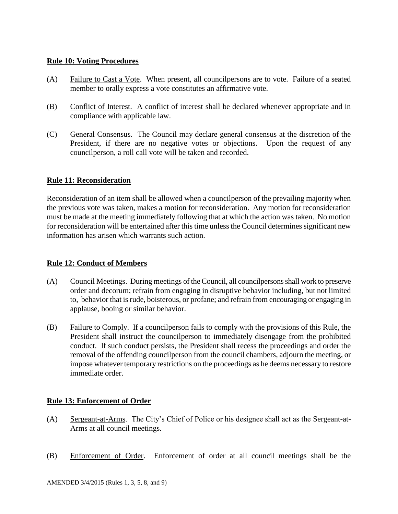## **Rule 10: Voting Procedures**

- (A) Failure to Cast a Vote. When present, all councilpersons are to vote. Failure of a seated member to orally express a vote constitutes an affirmative vote.
- (B) Conflict of Interest. A conflict of interest shall be declared whenever appropriate and in compliance with applicable law.
- (C) General Consensus. The Council may declare general consensus at the discretion of the President, if there are no negative votes or objections. Upon the request of any councilperson, a roll call vote will be taken and recorded.

## **Rule 11: Reconsideration**

Reconsideration of an item shall be allowed when a councilperson of the prevailing majority when the previous vote was taken, makes a motion for reconsideration. Any motion for reconsideration must be made at the meeting immediately following that at which the action was taken. No motion for reconsideration will be entertained after this time unless the Council determines significant new information has arisen which warrants such action.

## **Rule 12: Conduct of Members**

- (A) Council Meetings. During meetings of the Council, all councilpersons shall work to preserve order and decorum; refrain from engaging in disruptive behavior including, but not limited to, behavior that is rude, boisterous, or profane; and refrain from encouraging or engaging in applause, booing or similar behavior.
- (B) Failure to Comply. If a councilperson fails to comply with the provisions of this Rule, the President shall instruct the councilperson to immediately disengage from the prohibited conduct. If such conduct persists, the President shall recess the proceedings and order the removal of the offending councilperson from the council chambers, adjourn the meeting, or impose whatever temporary restrictions on the proceedings as he deems necessary to restore immediate order.

## **Rule 13: Enforcement of Order**

- (A) Sergeant-at-Arms. The City's Chief of Police or his designee shall act as the Sergeant-at-Arms at all council meetings.
- (B) Enforcement of Order. Enforcement of order at all council meetings shall be the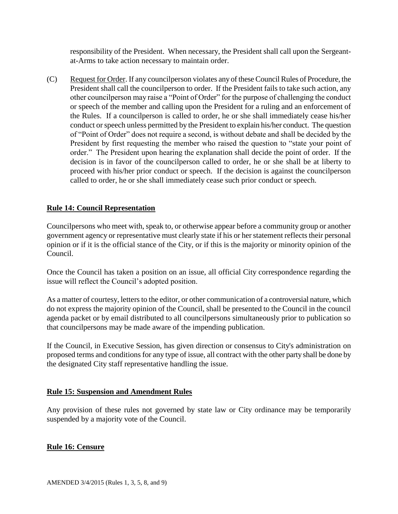responsibility of the President. When necessary, the President shall call upon the Sergeantat-Arms to take action necessary to maintain order.

(C) Request for Order. If any councilperson violates any of these Council Rules of Procedure, the President shall call the councilperson to order. If the President fails to take such action, any other councilperson may raise a "Point of Order" for the purpose of challenging the conduct or speech of the member and calling upon the President for a ruling and an enforcement of the Rules. If a councilperson is called to order, he or she shall immediately cease his/her conduct or speech unless permitted by the President to explain his/her conduct. The question of "Point of Order" does not require a second, is without debate and shall be decided by the President by first requesting the member who raised the question to "state your point of order." The President upon hearing the explanation shall decide the point of order. If the decision is in favor of the councilperson called to order, he or she shall be at liberty to proceed with his/her prior conduct or speech. If the decision is against the councilperson called to order, he or she shall immediately cease such prior conduct or speech.

# **Rule 14: Council Representation**

Councilpersons who meet with, speak to, or otherwise appear before a community group or another government agency or representative must clearly state if his or her statement reflects their personal opinion or if it is the official stance of the City, or if this is the majority or minority opinion of the Council.

Once the Council has taken a position on an issue, all official City correspondence regarding the issue will reflect the Council's adopted position.

As a matter of courtesy, letters to the editor, or other communication of a controversial nature, which do not express the majority opinion of the Council, shall be presented to the Council in the council agenda packet or by email distributed to all councilpersons simultaneously prior to publication so that councilpersons may be made aware of the impending publication.

If the Council, in Executive Session, has given direction or consensus to City's administration on proposed terms and conditions for any type of issue, all contract with the other party shall be done by the designated City staff representative handling the issue.

## **Rule 15: Suspension and Amendment Rules**

Any provision of these rules not governed by state law or City ordinance may be temporarily suspended by a majority vote of the Council.

## **Rule 16: Censure**